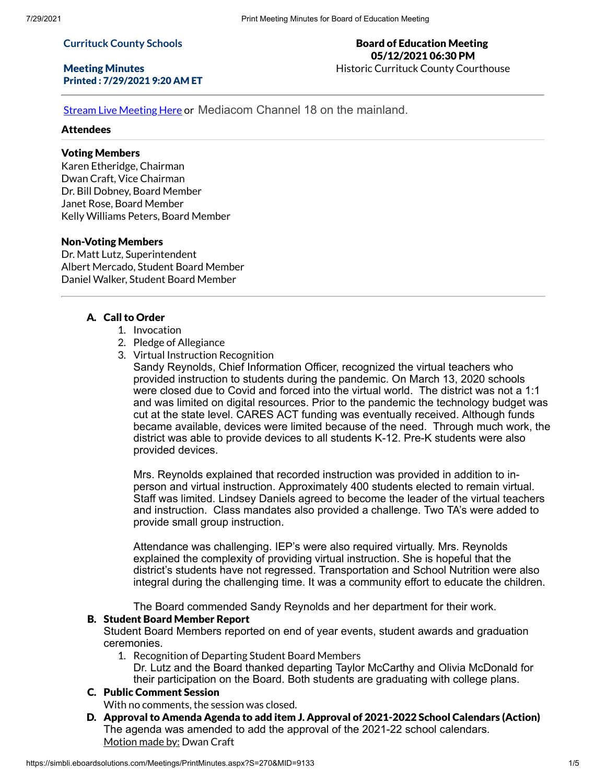#### **Currituck County Schools**

#### Meeting Minutes Printed : 7/29/2021 9:20 AM ET

#### Board of Education Meeting 05/12/2021 06:30 PM Historic Currituck County Courthouse

Stream Live [Meeting](http://currituckcountync.iqm2.com/Citizens/default.aspx) Here or Mediacom Channel 18 on the mainland.

### **Attendees**

# Voting Members

Karen Etheridge, Chairman Dwan Craft, Vice Chairman Dr. Bill Dobney, Board Member Janet Rose, Board Member Kelly Williams Peters, Board Member

### Non-Voting Members

Dr. Matt Lutz, Superintendent Albert Mercado, Student Board Member Daniel Walker, Student Board Member

### A. Call to Order

- 1. Invocation
- 2. Pledge of Allegiance
- 3. Virtual Instruction Recognition

Sandy Reynolds, Chief Information Officer, recognized the virtual teachers who provided instruction to students during the pandemic. On March 13, 2020 schools were closed due to Covid and forced into the virtual world. The district was not a 1:1 and was limited on digital resources. Prior to the pandemic the technology budget was cut at the state level. CARES ACT funding was eventually received. Although funds became available, devices were limited because of the need. Through much work, the district was able to provide devices to all students K-12. Pre-K students were also provided devices.

Mrs. Reynolds explained that recorded instruction was provided in addition to inperson and virtual instruction. Approximately 400 students elected to remain virtual. Staff was limited. Lindsey Daniels agreed to become the leader of the virtual teachers and instruction. Class mandates also provided a challenge. Two TA's were added to provide small group instruction.

Attendance was challenging. IEP's were also required virtually. Mrs. Reynolds explained the complexity of providing virtual instruction. She is hopeful that the district's students have not regressed. Transportation and School Nutrition were also integral during the challenging time. It was a community effort to educate the children.

The Board commended Sandy Reynolds and her department for their work.

### B. Student Board Member Report

Student Board Members reported on end of year events, student awards and graduation ceremonies.

1. Recognition of Departing Student Board Members Dr. Lutz and the Board thanked departing Taylor McCarthy and Olivia McDonald for their participation on the Board. Both students are graduating with college plans.

# C. Public Comment Session

With no comments, the session was closed.

D. Approval to Amenda Agenda to add item J. Approval of 2021-2022 School Calendars (Action) The agenda was amended to add the approval of the 2021-22 school calendars. Motion made by: Dwan Craft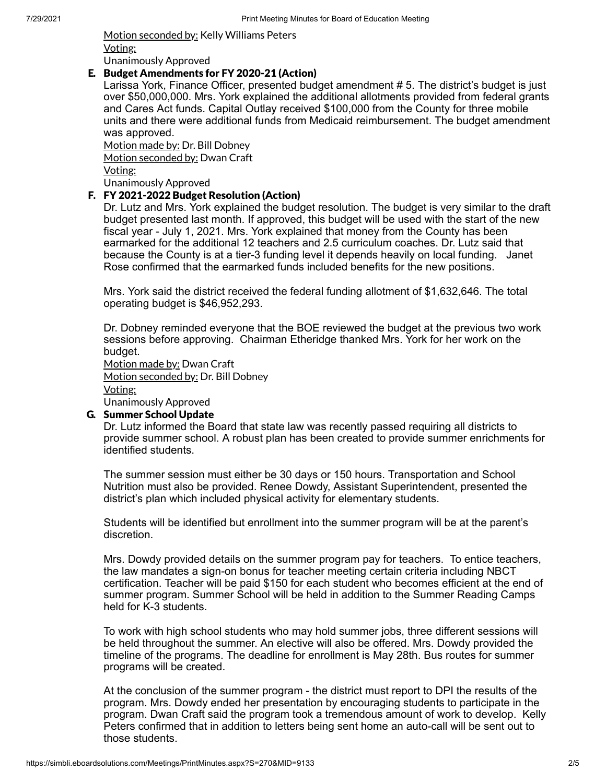Motion seconded by: Kelly Williams Peters Voting: Unanimously Approved

#### E. Budget Amendments for FY 2020-21 (Action)

Larissa York, Finance Officer, presented budget amendment # 5. The district's budget is just over \$50,000,000. Mrs. York explained the additional allotments provided from federal grants and Cares Act funds. Capital Outlay received \$100,000 from the County for three mobile units and there were additional funds from Medicaid reimbursement. The budget amendment was approved.

Motion made by: Dr. Bill Dobney Motion seconded by: Dwan Craft Voting: Unanimously Approved

### F. FY 2021-2022 Budget Resolution (Action)

Dr. Lutz and Mrs. York explained the budget resolution. The budget is very similar to the draft budget presented last month. If approved, this budget will be used with the start of the new fiscal year - July 1, 2021. Mrs. York explained that money from the County has been earmarked for the additional 12 teachers and 2.5 curriculum coaches. Dr. Lutz said that because the County is at a tier-3 funding level it depends heavily on local funding. Janet Rose confirmed that the earmarked funds included benefits for the new positions.

Mrs. York said the district received the federal funding allotment of \$1,632,646. The total operating budget is \$46,952,293.

Dr. Dobney reminded everyone that the BOE reviewed the budget at the previous two work sessions before approving. Chairman Etheridge thanked Mrs. York for her work on the budget.

Motion made by: Dwan Craft Motion seconded by: Dr. Bill Dobney Voting: Unanimously Approved

#### G. Summer School Update

Dr. Lutz informed the Board that state law was recently passed requiring all districts to provide summer school. A robust plan has been created to provide summer enrichments for identified students.

The summer session must either be 30 days or 150 hours. Transportation and School Nutrition must also be provided. Renee Dowdy, Assistant Superintendent, presented the district's plan which included physical activity for elementary students.

Students will be identified but enrollment into the summer program will be at the parent's discretion.

Mrs. Dowdy provided details on the summer program pay for teachers. To entice teachers, the law mandates a sign-on bonus for teacher meeting certain criteria including NBCT certification. Teacher will be paid \$150 for each student who becomes efficient at the end of summer program. Summer School will be held in addition to the Summer Reading Camps held for K-3 students.

To work with high school students who may hold summer jobs, three different sessions will be held throughout the summer. An elective will also be offered. Mrs. Dowdy provided the timeline of the programs. The deadline for enrollment is May 28th. Bus routes for summer programs will be created.

At the conclusion of the summer program - the district must report to DPI the results of the program. Mrs. Dowdy ended her presentation by encouraging students to participate in the program. Dwan Craft said the program took a tremendous amount of work to develop. Kelly Peters confirmed that in addition to letters being sent home an auto-call will be sent out to those students.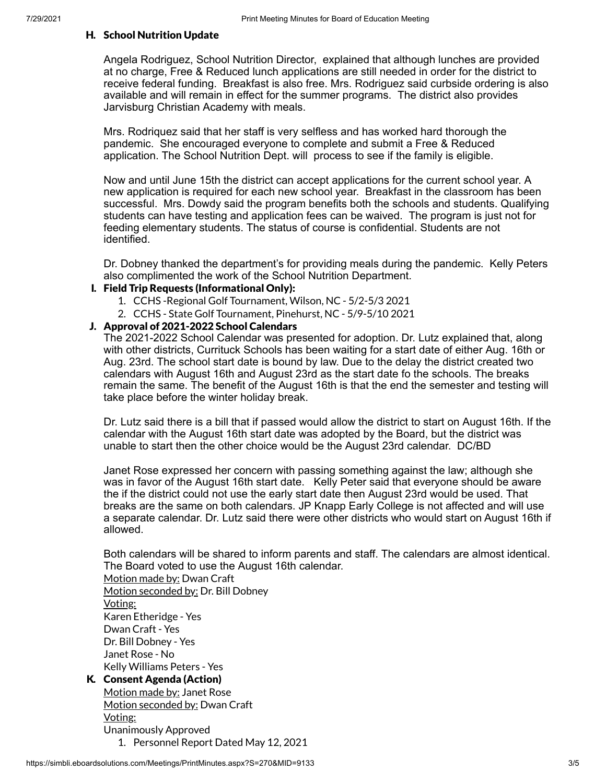#### H. School Nutrition Update

Angela Rodriguez, School Nutrition Director, explained that although lunches are provided at no charge, Free & Reduced lunch applications are still needed in order for the district to receive federal funding. Breakfast is also free. Mrs. Rodriguez said curbside ordering is also available and will remain in effect for the summer programs. The district also provides Jarvisburg Christian Academy with meals.

Mrs. Rodriquez said that her staff is very selfless and has worked hard thorough the pandemic. She encouraged everyone to complete and submit a Free & Reduced application. The School Nutrition Dept. will process to see if the family is eligible.

Now and until June 15th the district can accept applications for the current school year. A new application is required for each new school year. Breakfast in the classroom has been successful. Mrs. Dowdy said the program benefits both the schools and students. Qualifying students can have testing and application fees can be waived. The program is just not for feeding elementary students. The status of course is confidential. Students are not identified.

Dr. Dobney thanked the department's for providing meals during the pandemic. Kelly Peters also complimented the work of the School Nutrition Department.

### I. Field Trip Requests (Informational Only):

- 1. CCHS -Regional Golf Tournament, Wilson, NC 5/2-5/3 2021
- 2. CCHS State Golf Tournament, Pinehurst, NC 5/9-5/10 2021

#### J. Approval of 2021-2022 School Calendars

The 2021-2022 School Calendar was presented for adoption. Dr. Lutz explained that, along with other districts, Currituck Schools has been waiting for a start date of either Aug. 16th or Aug. 23rd. The school start date is bound by law. Due to the delay the district created two calendars with August 16th and August 23rd as the start date fo the schools. The breaks remain the same. The benefit of the August 16th is that the end the semester and testing will take place before the winter holiday break.

Dr. Lutz said there is a bill that if passed would allow the district to start on August 16th. If the calendar with the August 16th start date was adopted by the Board, but the district was unable to start then the other choice would be the August 23rd calendar. DC/BD

Janet Rose expressed her concern with passing something against the law; although she was in favor of the August 16th start date. Kelly Peter said that everyone should be aware the if the district could not use the early start date then August 23rd would be used. That breaks are the same on both calendars. JP Knapp Early College is not affected and will use a separate calendar. Dr. Lutz said there were other districts who would start on August 16th if allowed.

Both calendars will be shared to inform parents and staff. The calendars are almost identical. The Board voted to use the August 16th calendar.

Motion made by: Dwan Craft Motion seconded by: Dr. Bill Dobney Voting: Karen Etheridge - Yes Dwan Craft - Yes Dr. Bill Dobney - Yes Janet Rose - No Kelly Williams Peters - Yes

# K. Consent Agenda (Action)

Motion made by: Janet Rose Motion seconded by: Dwan Craft Voting: Unanimously Approved 1. Personnel Report Dated May 12, 2021

https://simbli.eboardsolutions.com/Meetings/PrintMinutes.aspx?S=270&MID=9133 3/5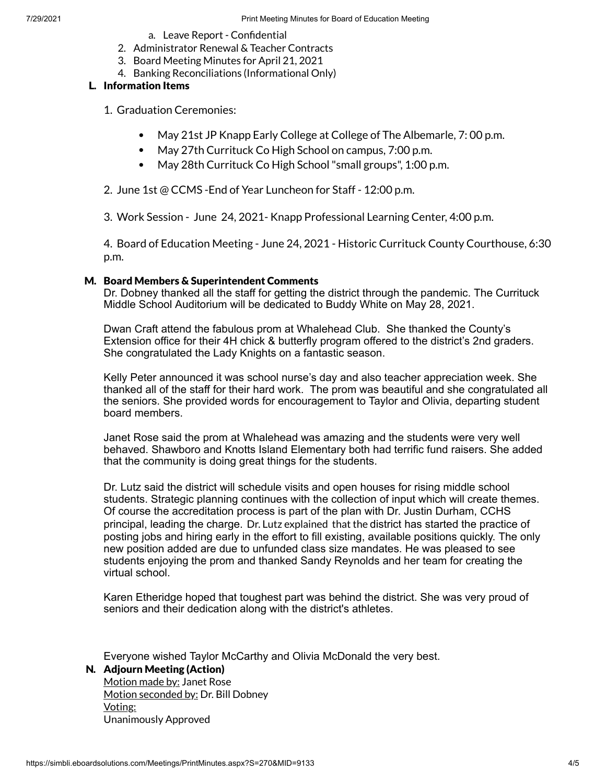- a. Leave Report Confidential
- 2. Administrator Renewal & Teacher Contracts
- 3. Board Meeting Minutes for April 21, 2021
- 4. Banking Reconciliations (Informational Only)

### L. Information Items

1. Graduation Ceremonies:

- $\bullet$ May 21st JP Knapp Early College at College of The Albemarle, 7: 00 p.m.
- May 27th Currituck Co High School on campus, 7:00 p.m.
- May 28th Currituck Co High School"small groups", 1:00 p.m.

2. June 1st @ CCMS -End of Year Luncheon for Staff - 12:00 p.m.

3. Work Session - June 24, 2021- Knapp Professional Learning Center, 4:00 p.m.

4. Board of Education Meeting - June 24, 2021 - Historic Currituck County Courthouse, 6:30 p.m.

#### M. Board Members & Superintendent Comments

Dr. Dobney thanked all the staff for getting the district through the pandemic. The Currituck Middle School Auditorium will be dedicated to Buddy White on May 28, 2021.

Dwan Craft attend the fabulous prom at Whalehead Club. She thanked the County's Extension office for their 4H chick & butterfly program offered to the district's 2nd graders. She congratulated the Lady Knights on a fantastic season.

Kelly Peter announced it was school nurse's day and also teacher appreciation week. She thanked all of the staff for their hard work. The prom was beautiful and she congratulated all the seniors. She provided words for encouragement to Taylor and Olivia, departing student board members.

Janet Rose said the prom at Whalehead was amazing and the students were very well behaved. Shawboro and Knotts Island Elementary both had terrific fund raisers. She added that the community is doing great things for the students.

Dr. Lutz said the district will schedule visits and open houses for rising middle school students. Strategic planning continues with the collection of input which will create themes. Of course the accreditation process is part of the plan with Dr. Justin Durham, CCHS principal, leading the charge. Dr. Lutz explained that the district has started the practice of posting jobs and hiring early in the effort to fill existing, available positions quickly. The only new position added are due to unfunded class size mandates. He was pleased to see students enjoying the prom and thanked Sandy Reynolds and her team for creating the virtual school.

Karen Etheridge hoped that toughest part was behind the district. She was very proud of seniors and their dedication along with the district's athletes.

Everyone wished Taylor McCarthy and Olivia McDonald the very best.

### N. Adjourn Meeting (Action)

Motion made by: Janet Rose Motion seconded by: Dr. Bill Dobney Voting: Unanimously Approved